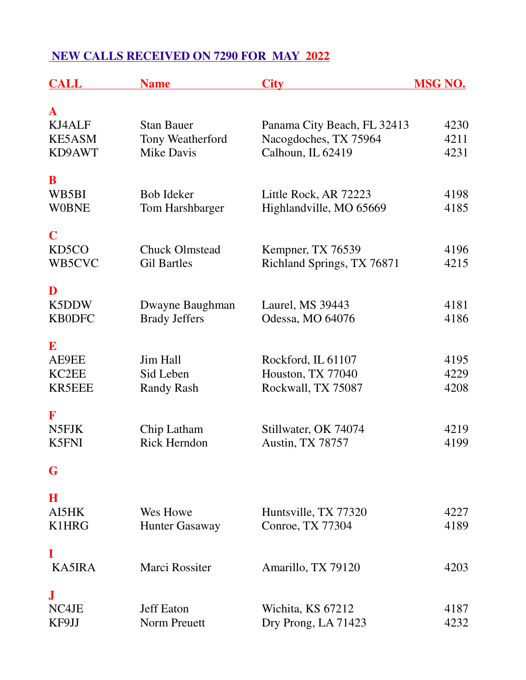## **NEW CALLS RECEIVED ON 7290 FOR MAY 2022**

| <b>CALL</b>                                      | <b>Name</b>                                                | <b>City</b>                                                               | <b>MSG NO.</b>       |
|--------------------------------------------------|------------------------------------------------------------|---------------------------------------------------------------------------|----------------------|
| $\mathbf A$<br>KJ4ALF<br><b>KE5ASM</b><br>KD9AWT | <b>Stan Bauer</b><br>Tony Weatherford<br><b>Mike Davis</b> | Panama City Beach, FL 32413<br>Nacogdoches, TX 75964<br>Calhoun, IL 62419 | 4230<br>4211<br>4231 |
| B<br>WB5BI<br><b>WOBNE</b>                       | <b>Bob Ideker</b><br>Tom Harshbarger                       | Little Rock, AR 72223<br>Highlandville, MO 65669                          | 4198<br>4185         |
| $\mathbf C$<br>KD <sub>5</sub> CO<br>WB5CVC      | <b>Chuck Olmstead</b><br><b>Gil Bartles</b>                | Kempner, TX 76539<br>Richland Springs, TX 76871                           | 4196<br>4215         |
| D<br>K5DDW<br><b>KB0DFC</b>                      | Dwayne Baughman<br><b>Brady Jeffers</b>                    | Laurel, MS 39443<br>Odessa, MO 64076                                      | 4181<br>4186         |
| E<br>AE9EE<br>KC2EE<br><b>KR5EEE</b>             | Jim Hall<br>Sid Leben<br><b>Randy Rash</b>                 | Rockford, IL 61107<br>Houston, TX 77040<br>Rockwall, TX 75087             | 4195<br>4229<br>4208 |
| F<br>N5FJK<br><b>K5FNI</b>                       | Chip Latham<br><b>Rick Herndon</b>                         | Stillwater, OK 74074<br>Austin, TX 78757                                  | 4219<br>4199         |
| G                                                |                                                            |                                                                           |                      |
| $\bf H$<br>AI5HK<br>K1HRG                        | Wes Howe<br><b>Hunter Gasaway</b>                          | Huntsville, TX 77320<br>Conroe, TX 77304                                  | 4227<br>4189         |
| I<br><b>KA5IRA</b>                               | <b>Marci Rossiter</b>                                      | Amarillo, TX 79120                                                        | 4203                 |
| ${\bf J}$<br>NC4JE<br>KF9JJ                      | <b>Jeff Eaton</b><br>Norm Preuett                          | Wichita, KS 67212<br>Dry Prong, LA 71423                                  | 4187<br>4232         |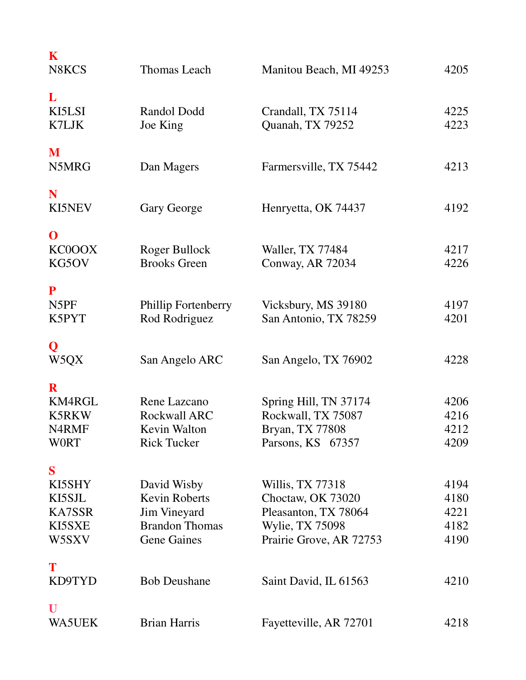| K<br>N8KCS                                                                 | Thomas Leach                                                                                              | Manitou Beach, MI 49253                                                                                            | 4205                                 |
|----------------------------------------------------------------------------|-----------------------------------------------------------------------------------------------------------|--------------------------------------------------------------------------------------------------------------------|--------------------------------------|
| L<br>KI5LSI<br>K7LJK                                                       | Randol Dodd<br>Joe King                                                                                   | Crandall, TX 75114<br>Quanah, TX 79252                                                                             | 4225<br>4223                         |
| M<br>N5MRG                                                                 | Dan Magers                                                                                                | Farmersville, TX 75442                                                                                             | 4213                                 |
| N<br>KI5NEV                                                                | Gary George                                                                                               | Henryetta, OK 74437                                                                                                | 4192                                 |
| $\mathbf 0$<br>KC0OOX<br>KG5OV                                             | Roger Bullock<br><b>Brooks Green</b>                                                                      | Waller, TX 77484<br>Conway, AR 72034                                                                               | 4217<br>4226                         |
| ${\bf P}$<br>N5PF<br>K5PYT                                                 | Phillip Fortenberry<br>Rod Rodriguez                                                                      | Vicksbury, MS 39180<br>San Antonio, TX 78259                                                                       | 4197<br>4201                         |
| Q<br>W5QX                                                                  | San Angelo ARC                                                                                            | San Angelo, TX 76902                                                                                               | 4228                                 |
| $\mathbf R$<br>KM4RGL<br><b>K5RKW</b><br>N <sub>4</sub> RMF<br><b>WORT</b> | Rene Lazcano<br><b>Rockwall ARC</b><br>Kevin Walton<br><b>Rick Tucker</b>                                 | Spring Hill, TN 37174<br>Rockwall, TX 75087<br>Bryan, TX 77808<br>Parsons, KS 67357                                | 4206<br>4216<br>4212<br>4209         |
| S<br>KI5SHY<br>KI5SJL<br>KA7SSR<br>KI5SXE<br>W5SXV                         | David Wisby<br><b>Kevin Roberts</b><br><b>Jim Vineyard</b><br><b>Brandon Thomas</b><br><b>Gene Gaines</b> | Willis, TX 77318<br>Choctaw, OK 73020<br>Pleasanton, TX 78064<br><b>Wylie, TX 75098</b><br>Prairie Grove, AR 72753 | 4194<br>4180<br>4221<br>4182<br>4190 |
| T<br>KD9TYD                                                                | <b>Bob Deushane</b>                                                                                       | Saint David, IL 61563                                                                                              | 4210                                 |
| U<br><b>WA5UEK</b>                                                         | <b>Brian Harris</b>                                                                                       | Fayetteville, AR 72701                                                                                             | 4218                                 |